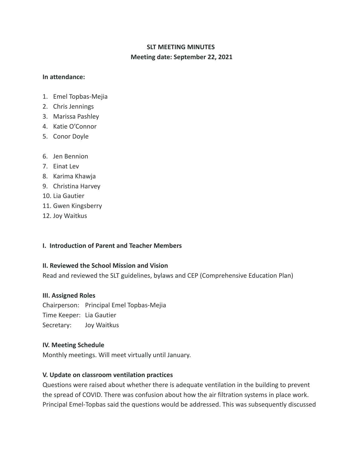# **SLT MEETING MINUTES Meeting date: September 22, 2021**

### **In attendance:**

- 1. Emel Topbas-Mejia
- 2. Chris Jennings
- 3. Marissa Pashley
- 4. Katie O'Connor
- 5. Conor Doyle
- 6. Jen Bennion
- 7. Einat Lev
- 8. Karima Khawja
- 9. Christina Harvey
- 10. Lia Gautier
- 11. Gwen Kingsberry
- 12. Joy Waitkus

## **I. Introduction of Parent and Teacher Members**

## **II. Reviewed the School Mission and Vision**

Read and reviewed the SLT guidelines, bylaws and CEP (Comprehensive Education Plan)

## **III. Assigned Roles**

Chairperson: Principal Emel Topbas-Mejia Time Keeper: Lia Gautier Secretary: Joy Waitkus

## **IV. Meeting Schedule**

Monthly meetings. Will meet virtually until January.

## **V. Update on classroom ventilation practices**

Questions were raised about whether there is adequate ventilation in the building to prevent the spread of COVID. There was confusion about how the air filtration systems in place work. Principal Emel-Topbas said the questions would be addressed. This was subsequently discussed